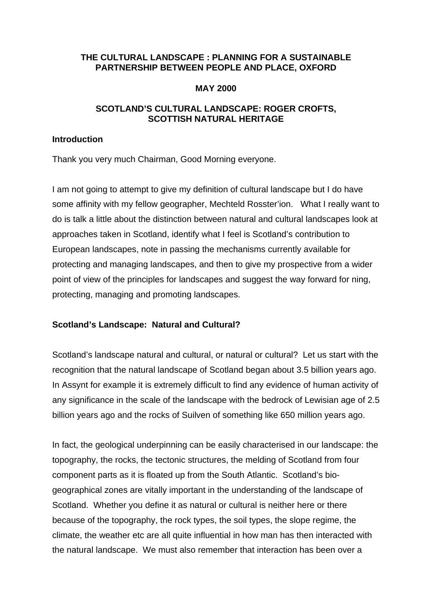## **THE CULTURAL LANDSCAPE : PLANNING FOR A SUSTAINABLE PARTNERSHIP BETWEEN PEOPLE AND PLACE, OXFORD**

#### **MAY 2000**

# **SCOTLAND'S CULTURAL LANDSCAPE: ROGER CROFTS, SCOTTISH NATURAL HERITAGE**

#### **Introduction**

Thank you very much Chairman, Good Morning everyone.

I am not going to attempt to give my definition of cultural landscape but I do have some affinity with my fellow geographer, Mechteld Rosster'ion. What I really want to do is talk a little about the distinction between natural and cultural landscapes look at approaches taken in Scotland, identify what I feel is Scotland's contribution to European landscapes, note in passing the mechanisms currently available for protecting and managing landscapes, and then to give my prospective from a wider point of view of the principles for landscapes and suggest the way forward for ning, protecting, managing and promoting landscapes.

# **Scotland's Landscape: Natural and Cultural?**

Scotland's landscape natural and cultural, or natural or cultural? Let us start with the recognition that the natural landscape of Scotland began about 3.5 billion years ago. In Assynt for example it is extremely difficult to find any evidence of human activity of any significance in the scale of the landscape with the bedrock of Lewisian age of 2.5 billion years ago and the rocks of Suilven of something like 650 million years ago.

In fact, the geological underpinning can be easily characterised in our landscape: the topography, the rocks, the tectonic structures, the melding of Scotland from four component parts as it is floated up from the South Atlantic. Scotland's biogeographical zones are vitally important in the understanding of the landscape of Scotland. Whether you define it as natural or cultural is neither here or there because of the topography, the rock types, the soil types, the slope regime, the climate, the weather etc are all quite influential in how man has then interacted with the natural landscape. We must also remember that interaction has been over a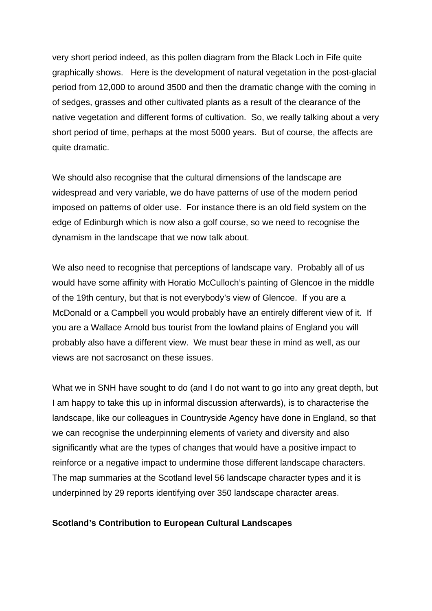very short period indeed, as this pollen diagram from the Black Loch in Fife quite graphically shows. Here is the development of natural vegetation in the post-glacial period from 12,000 to around 3500 and then the dramatic change with the coming in of sedges, grasses and other cultivated plants as a result of the clearance of the native vegetation and different forms of cultivation. So, we really talking about a very short period of time, perhaps at the most 5000 years. But of course, the affects are quite dramatic.

We should also recognise that the cultural dimensions of the landscape are widespread and very variable, we do have patterns of use of the modern period imposed on patterns of older use. For instance there is an old field system on the edge of Edinburgh which is now also a golf course, so we need to recognise the dynamism in the landscape that we now talk about.

We also need to recognise that perceptions of landscape vary. Probably all of us would have some affinity with Horatio McCulloch's painting of Glencoe in the middle of the 19th century, but that is not everybody's view of Glencoe. If you are a McDonald or a Campbell you would probably have an entirely different view of it. If you are a Wallace Arnold bus tourist from the lowland plains of England you will probably also have a different view. We must bear these in mind as well, as our views are not sacrosanct on these issues.

What we in SNH have sought to do (and I do not want to go into any great depth, but I am happy to take this up in informal discussion afterwards), is to characterise the landscape, like our colleagues in Countryside Agency have done in England, so that we can recognise the underpinning elements of variety and diversity and also significantly what are the types of changes that would have a positive impact to reinforce or a negative impact to undermine those different landscape characters. The map summaries at the Scotland level 56 landscape character types and it is underpinned by 29 reports identifying over 350 landscape character areas.

#### **Scotland's Contribution to European Cultural Landscapes**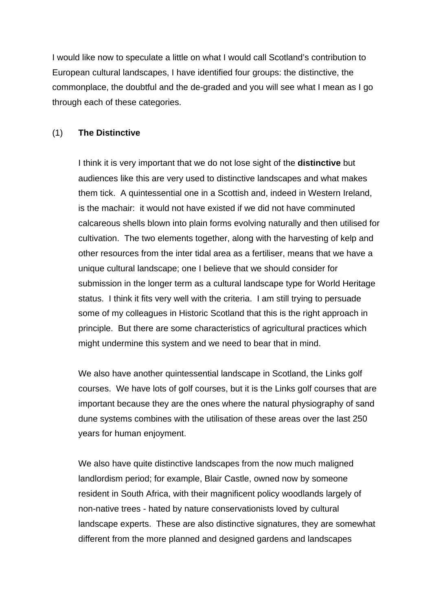I would like now to speculate a little on what I would call Scotland's contribution to European cultural landscapes, I have identified four groups: the distinctive, the commonplace, the doubtful and the de-graded and you will see what I mean as I go through each of these categories.

# (1) **The Distinctive**

 I think it is very important that we do not lose sight of the **distinctive** but audiences like this are very used to distinctive landscapes and what makes them tick. A quintessential one in a Scottish and, indeed in Western Ireland, is the machair: it would not have existed if we did not have comminuted calcareous shells blown into plain forms evolving naturally and then utilised for cultivation. The two elements together, along with the harvesting of kelp and other resources from the inter tidal area as a fertiliser, means that we have a unique cultural landscape; one I believe that we should consider for submission in the longer term as a cultural landscape type for World Heritage status. I think it fits very well with the criteria. I am still trying to persuade some of my colleagues in Historic Scotland that this is the right approach in principle. But there are some characteristics of agricultural practices which might undermine this system and we need to bear that in mind.

 We also have another quintessential landscape in Scotland, the Links golf courses. We have lots of golf courses, but it is the Links golf courses that are important because they are the ones where the natural physiography of sand dune systems combines with the utilisation of these areas over the last 250 years for human enjoyment.

 We also have quite distinctive landscapes from the now much maligned landlordism period; for example, Blair Castle, owned now by someone resident in South Africa, with their magnificent policy woodlands largely of non-native trees - hated by nature conservationists loved by cultural landscape experts. These are also distinctive signatures, they are somewhat different from the more planned and designed gardens and landscapes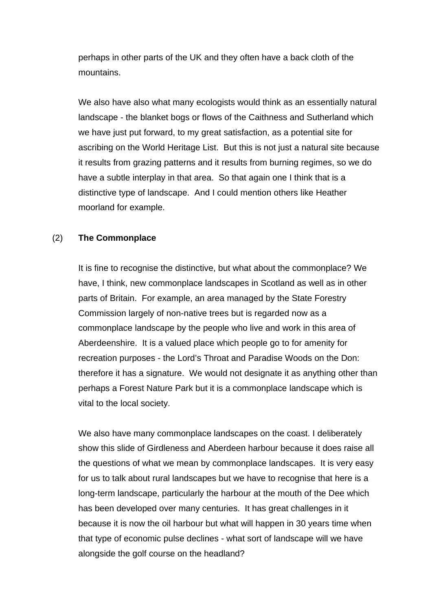perhaps in other parts of the UK and they often have a back cloth of the mountains.

 We also have also what many ecologists would think as an essentially natural landscape - the blanket bogs or flows of the Caithness and Sutherland which we have just put forward, to my great satisfaction, as a potential site for ascribing on the World Heritage List. But this is not just a natural site because it results from grazing patterns and it results from burning regimes, so we do have a subtle interplay in that area. So that again one I think that is a distinctive type of landscape. And I could mention others like Heather moorland for example.

#### (2) **The Commonplace**

 It is fine to recognise the distinctive, but what about the commonplace? We have, I think, new commonplace landscapes in Scotland as well as in other parts of Britain. For example, an area managed by the State Forestry Commission largely of non-native trees but is regarded now as a commonplace landscape by the people who live and work in this area of Aberdeenshire. It is a valued place which people go to for amenity for recreation purposes - the Lord's Throat and Paradise Woods on the Don: therefore it has a signature. We would not designate it as anything other than perhaps a Forest Nature Park but it is a commonplace landscape which is vital to the local society.

 We also have many commonplace landscapes on the coast. I deliberately show this slide of Girdleness and Aberdeen harbour because it does raise all the questions of what we mean by commonplace landscapes. It is very easy for us to talk about rural landscapes but we have to recognise that here is a long-term landscape, particularly the harbour at the mouth of the Dee which has been developed over many centuries. It has great challenges in it because it is now the oil harbour but what will happen in 30 years time when that type of economic pulse declines - what sort of landscape will we have alongside the golf course on the headland?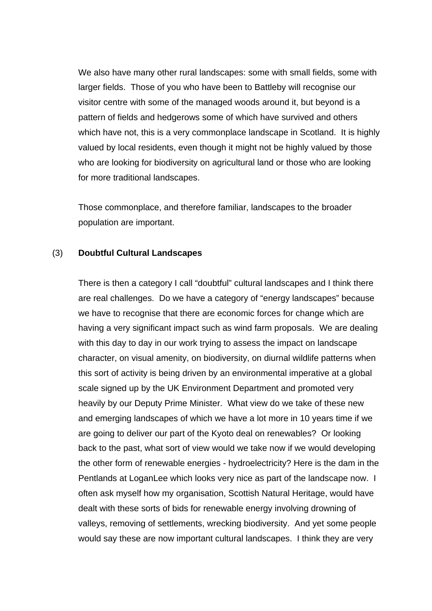We also have many other rural landscapes: some with small fields, some with larger fields. Those of you who have been to Battleby will recognise our visitor centre with some of the managed woods around it, but beyond is a pattern of fields and hedgerows some of which have survived and others which have not, this is a very commonplace landscape in Scotland. It is highly valued by local residents, even though it might not be highly valued by those who are looking for biodiversity on agricultural land or those who are looking for more traditional landscapes.

 Those commonplace, and therefore familiar, landscapes to the broader population are important.

#### (3) **Doubtful Cultural Landscapes**

 There is then a category I call "doubtful" cultural landscapes and I think there are real challenges. Do we have a category of "energy landscapes" because we have to recognise that there are economic forces for change which are having a very significant impact such as wind farm proposals. We are dealing with this day to day in our work trying to assess the impact on landscape character, on visual amenity, on biodiversity, on diurnal wildlife patterns when this sort of activity is being driven by an environmental imperative at a global scale signed up by the UK Environment Department and promoted very heavily by our Deputy Prime Minister. What view do we take of these new and emerging landscapes of which we have a lot more in 10 years time if we are going to deliver our part of the Kyoto deal on renewables? Or looking back to the past, what sort of view would we take now if we would developing the other form of renewable energies - hydroelectricity? Here is the dam in the Pentlands at LoganLee which looks very nice as part of the landscape now. I often ask myself how my organisation, Scottish Natural Heritage, would have dealt with these sorts of bids for renewable energy involving drowning of valleys, removing of settlements, wrecking biodiversity. And yet some people would say these are now important cultural landscapes. I think they are very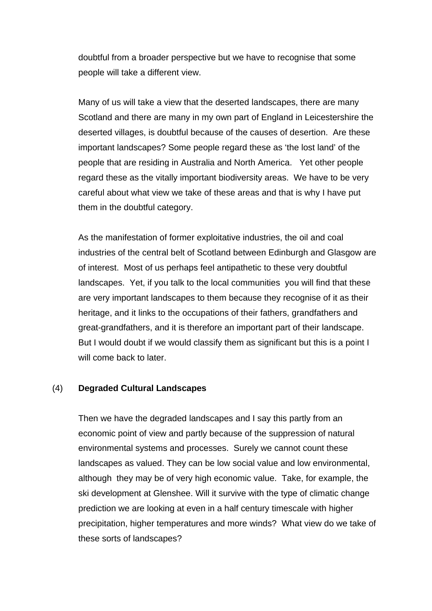doubtful from a broader perspective but we have to recognise that some people will take a different view.

 Many of us will take a view that the deserted landscapes, there are many Scotland and there are many in my own part of England in Leicestershire the deserted villages, is doubtful because of the causes of desertion. Are these important landscapes? Some people regard these as 'the lost land' of the people that are residing in Australia and North America. Yet other people regard these as the vitally important biodiversity areas. We have to be very careful about what view we take of these areas and that is why I have put them in the doubtful category.

 As the manifestation of former exploitative industries, the oil and coal industries of the central belt of Scotland between Edinburgh and Glasgow are of interest. Most of us perhaps feel antipathetic to these very doubtful landscapes. Yet, if you talk to the local communities you will find that these are very important landscapes to them because they recognise of it as their heritage, and it links to the occupations of their fathers, grandfathers and great-grandfathers, and it is therefore an important part of their landscape. But I would doubt if we would classify them as significant but this is a point I will come back to later.

#### (4) **Degraded Cultural Landscapes**

 Then we have the degraded landscapes and I say this partly from an economic point of view and partly because of the suppression of natural environmental systems and processes. Surely we cannot count these landscapes as valued. They can be low social value and low environmental, although they may be of very high economic value. Take, for example, the ski development at Glenshee. Will it survive with the type of climatic change prediction we are looking at even in a half century timescale with higher precipitation, higher temperatures and more winds? What view do we take of these sorts of landscapes?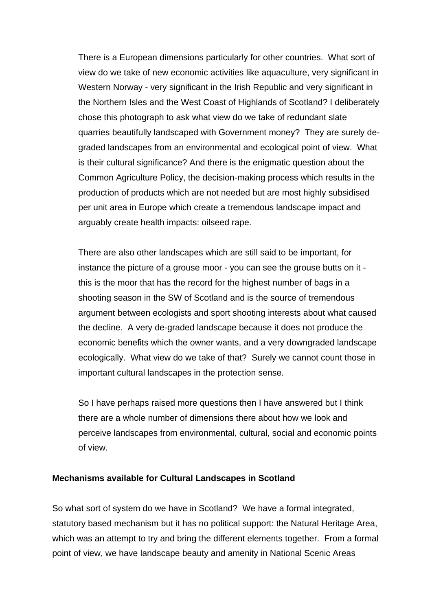There is a European dimensions particularly for other countries. What sort of view do we take of new economic activities like aquaculture, very significant in Western Norway - very significant in the Irish Republic and very significant in the Northern Isles and the West Coast of Highlands of Scotland? I deliberately chose this photograph to ask what view do we take of redundant slate quarries beautifully landscaped with Government money? They are surely degraded landscapes from an environmental and ecological point of view. What is their cultural significance? And there is the enigmatic question about the Common Agriculture Policy, the decision-making process which results in the production of products which are not needed but are most highly subsidised per unit area in Europe which create a tremendous landscape impact and arguably create health impacts: oilseed rape.

 There are also other landscapes which are still said to be important, for instance the picture of a grouse moor - you can see the grouse butts on it this is the moor that has the record for the highest number of bags in a shooting season in the SW of Scotland and is the source of tremendous argument between ecologists and sport shooting interests about what caused the decline. A very de-graded landscape because it does not produce the economic benefits which the owner wants, and a very downgraded landscape ecologically. What view do we take of that? Surely we cannot count those in important cultural landscapes in the protection sense.

 So I have perhaps raised more questions then I have answered but I think there are a whole number of dimensions there about how we look and perceive landscapes from environmental, cultural, social and economic points of view.

#### **Mechanisms available for Cultural Landscapes in Scotland**

So what sort of system do we have in Scotland? We have a formal integrated, statutory based mechanism but it has no political support: the Natural Heritage Area, which was an attempt to try and bring the different elements together. From a formal point of view, we have landscape beauty and amenity in National Scenic Areas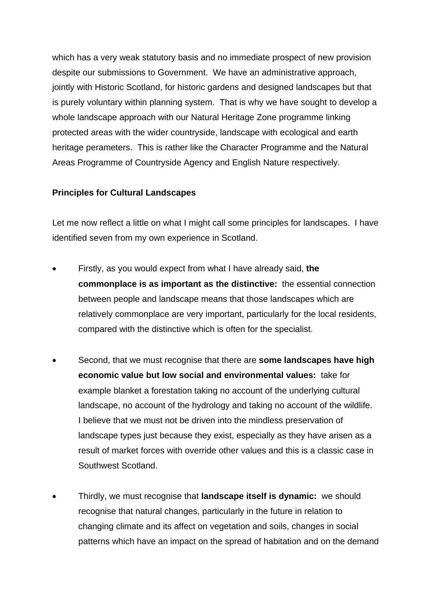which has a very weak statutory basis and no immediate prospect of new provision despite our submissions to Government. We have an administrative approach, jointly with Historic Scotland, for historic gardens and designed landscapes but that is purely voluntary within planning system. That is why we have sought to develop a whole landscape approach with our Natural Heritage Zone programme linking protected areas with the wider countryside, landscape with ecological and earth heritage perameters. This is rather like the Character Programme and the Natural Areas Programme of Countryside Agency and English Nature respectively.

#### **Principles for Cultural Landscapes**

Let me now reflect a little on what I might call some principles for landscapes. I have identified seven from my own experience in Scotland.

- Firstly, as you would expect from what I have already said, **the commonplace is as important as the distinctive:** the essential connection between people and landscape means that those landscapes which are relatively commonplace are very important, particularly for the local residents, compared with the distinctive which is often for the specialist.
- Second, that we must recognise that there are **some landscapes have high economic value but low social and environmental values:** take for example blanket a forestation taking no account of the underlying cultural landscape, no account of the hydrology and taking no account of the wildlife. I believe that we must not be driven into the mindless preservation of landscape types just because they exist, especially as they have arisen as a result of market forces with override other values and this is a classic case in Southwest Scotland.
- Thirdly, we must recognise that **landscape itself is dynamic:** we should recognise that natural changes, particularly in the future in relation to changing climate and its affect on vegetation and soils, changes in social patterns which have an impact on the spread of habitation and on the demand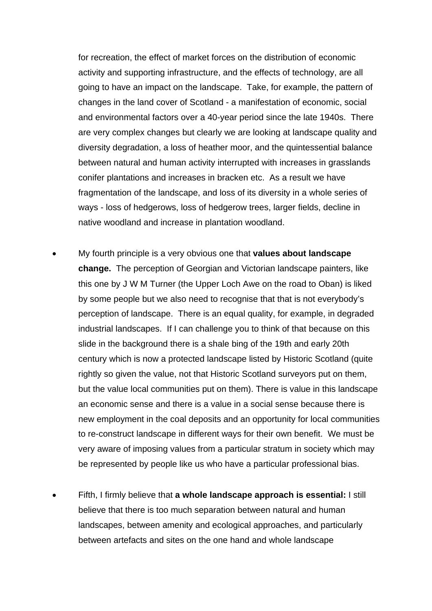for recreation, the effect of market forces on the distribution of economic activity and supporting infrastructure, and the effects of technology, are all going to have an impact on the landscape. Take, for example, the pattern of changes in the land cover of Scotland - a manifestation of economic, social and environmental factors over a 40-year period since the late 1940s. There are very complex changes but clearly we are looking at landscape quality and diversity degradation, a loss of heather moor, and the quintessential balance between natural and human activity interrupted with increases in grasslands conifer plantations and increases in bracken etc. As a result we have fragmentation of the landscape, and loss of its diversity in a whole series of ways - loss of hedgerows, loss of hedgerow trees, larger fields, decline in native woodland and increase in plantation woodland.

- My fourth principle is a very obvious one that **values about landscape change.** The perception of Georgian and Victorian landscape painters, like this one by J W M Turner (the Upper Loch Awe on the road to Oban) is liked by some people but we also need to recognise that that is not everybody's perception of landscape. There is an equal quality, for example, in degraded industrial landscapes. If I can challenge you to think of that because on this slide in the background there is a shale bing of the 19th and early 20th century which is now a protected landscape listed by Historic Scotland (quite rightly so given the value, not that Historic Scotland surveyors put on them, but the value local communities put on them). There is value in this landscape an economic sense and there is a value in a social sense because there is new employment in the coal deposits and an opportunity for local communities to re-construct landscape in different ways for their own benefit. We must be very aware of imposing values from a particular stratum in society which may be represented by people like us who have a particular professional bias.
- Fifth, I firmly believe that **a whole landscape approach is essential:** I still believe that there is too much separation between natural and human landscapes, between amenity and ecological approaches, and particularly between artefacts and sites on the one hand and whole landscape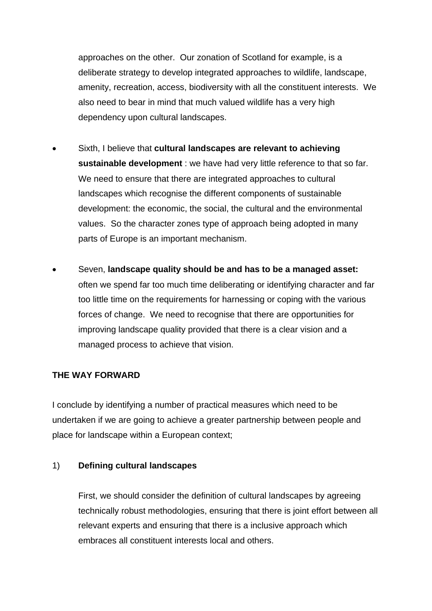approaches on the other. Our zonation of Scotland for example, is a deliberate strategy to develop integrated approaches to wildlife, landscape, amenity, recreation, access, biodiversity with all the constituent interests. We also need to bear in mind that much valued wildlife has a very high dependency upon cultural landscapes.

- Sixth, I believe that **cultural landscapes are relevant to achieving sustainable development** : we have had very little reference to that so far. We need to ensure that there are integrated approaches to cultural landscapes which recognise the different components of sustainable development: the economic, the social, the cultural and the environmental values. So the character zones type of approach being adopted in many parts of Europe is an important mechanism.
- Seven, **landscape quality should be and has to be a managed asset:** often we spend far too much time deliberating or identifying character and far too little time on the requirements for harnessing or coping with the various forces of change. We need to recognise that there are opportunities for improving landscape quality provided that there is a clear vision and a managed process to achieve that vision.

#### **THE WAY FORWARD**

I conclude by identifying a number of practical measures which need to be undertaken if we are going to achieve a greater partnership between people and place for landscape within a European context;

#### 1) **Defining cultural landscapes**

 First, we should consider the definition of cultural landscapes by agreeing technically robust methodologies, ensuring that there is joint effort between all relevant experts and ensuring that there is a inclusive approach which embraces all constituent interests local and others.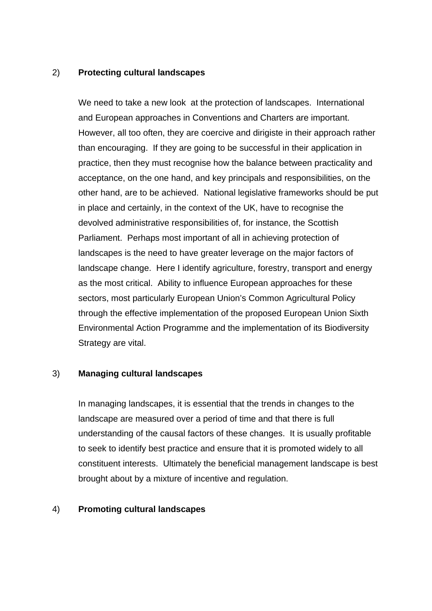#### 2) **Protecting cultural landscapes**

 We need to take a new look at the protection of landscapes. International and European approaches in Conventions and Charters are important. However, all too often, they are coercive and dirigiste in their approach rather than encouraging. If they are going to be successful in their application in practice, then they must recognise how the balance between practicality and acceptance, on the one hand, and key principals and responsibilities, on the other hand, are to be achieved. National legislative frameworks should be put in place and certainly, in the context of the UK, have to recognise the devolved administrative responsibilities of, for instance, the Scottish Parliament. Perhaps most important of all in achieving protection of landscapes is the need to have greater leverage on the major factors of landscape change. Here I identify agriculture, forestry, transport and energy as the most critical. Ability to influence European approaches for these sectors, most particularly European Union's Common Agricultural Policy through the effective implementation of the proposed European Union Sixth Environmental Action Programme and the implementation of its Biodiversity Strategy are vital.

#### 3) **Managing cultural landscapes**

 In managing landscapes, it is essential that the trends in changes to the landscape are measured over a period of time and that there is full understanding of the causal factors of these changes. It is usually profitable to seek to identify best practice and ensure that it is promoted widely to all constituent interests. Ultimately the beneficial management landscape is best brought about by a mixture of incentive and regulation.

#### 4) **Promoting cultural landscapes**